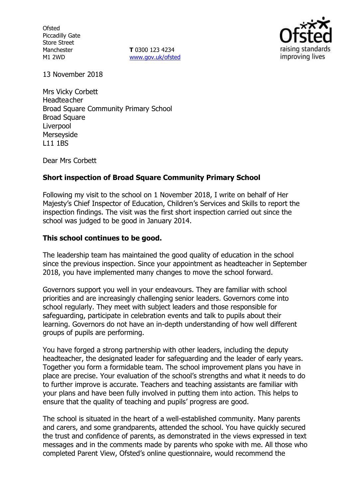**Ofsted** Piccadilly Gate Store Street Manchester M1 2WD

**T** 0300 123 4234 www.gov.uk/ofsted



13 November 2018

Mrs Vicky Corbett Headteacher Broad Square Community Primary School Broad Square Liverpool Merseyside L11 1BS

Dear Mrs Corbett

## **Short inspection of Broad Square Community Primary School**

Following my visit to the school on 1 November 2018, I write on behalf of Her Majesty's Chief Inspector of Education, Children's Services and Skills to report the inspection findings. The visit was the first short inspection carried out since the school was judged to be good in January 2014.

## **This school continues to be good.**

The leadership team has maintained the good quality of education in the school since the previous inspection. Since your appointment as headteacher in September 2018, you have implemented many changes to move the school forward.

Governors support you well in your endeavours. They are familiar with school priorities and are increasingly challenging senior leaders. Governors come into school regularly. They meet with subject leaders and those responsible for safeguarding, participate in celebration events and talk to pupils about their learning. Governors do not have an in-depth understanding of how well different groups of pupils are performing.

You have forged a strong partnership with other leaders, including the deputy headteacher, the designated leader for safeguarding and the leader of early years. Together you form a formidable team. The school improvement plans you have in place are precise. Your evaluation of the school's strengths and what it needs to do to further improve is accurate. Teachers and teaching assistants are familiar with your plans and have been fully involved in putting them into action. This helps to ensure that the quality of teaching and pupils' progress are good.

The school is situated in the heart of a well-established community. Many parents and carers, and some grandparents, attended the school. You have quickly secured the trust and confidence of parents, as demonstrated in the views expressed in text messages and in the comments made by parents who spoke with me. All those who completed Parent View, Ofsted's online questionnaire, would recommend the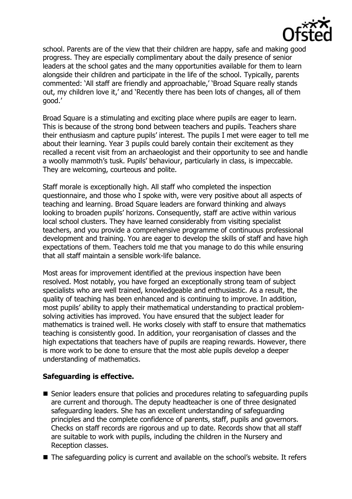

school. Parents are of the view that their children are happy, safe and making good progress. They are especially complimentary about the daily presence of senior leaders at the school gates and the many opportunities available for them to learn alongside their children and participate in the life of the school. Typically, parents commented: 'All staff are friendly and approachable,' 'Broad Square really stands out, my children love it,' and 'Recently there has been lots of changes, all of them good.'

Broad Square is a stimulating and exciting place where pupils are eager to learn. This is because of the strong bond between teachers and pupils. Teachers share their enthusiasm and capture pupils' interest. The pupils I met were eager to tell me about their learning. Year 3 pupils could barely contain their excitement as they recalled a recent visit from an archaeologist and their opportunity to see and handle a woolly mammoth's tusk. Pupils' behaviour, particularly in class, is impeccable. They are welcoming, courteous and polite.

Staff morale is exceptionally high. All staff who completed the inspection questionnaire, and those who I spoke with, were very positive about all aspects of teaching and learning. Broad Square leaders are forward thinking and always looking to broaden pupils' horizons. Consequently, staff are active within various local school clusters. They have learned considerably from visiting specialist teachers, and you provide a comprehensive programme of continuous professional development and training. You are eager to develop the skills of staff and have high expectations of them. Teachers told me that you manage to do this while ensuring that all staff maintain a sensible work-life balance.

Most areas for improvement identified at the previous inspection have been resolved. Most notably, you have forged an exceptionally strong team of subject specialists who are well trained, knowledgeable and enthusiastic. As a result, the quality of teaching has been enhanced and is continuing to improve. In addition, most pupils' ability to apply their mathematical understanding to practical problemsolving activities has improved. You have ensured that the subject leader for mathematics is trained well. He works closely with staff to ensure that mathematics teaching is consistently good. In addition, your reorganisation of classes and the high expectations that teachers have of pupils are reaping rewards. However, there is more work to be done to ensure that the most able pupils develop a deeper understanding of mathematics.

## **Safeguarding is effective.**

- Senior leaders ensure that policies and procedures relating to safeguarding pupils are current and thorough. The deputy headteacher is one of three designated safeguarding leaders. She has an excellent understanding of safeguarding principles and the complete confidence of parents, staff, pupils and governors. Checks on staff records are rigorous and up to date. Records show that all staff are suitable to work with pupils, including the children in the Nursery and Reception classes.
- The safeguarding policy is current and available on the school's website. It refers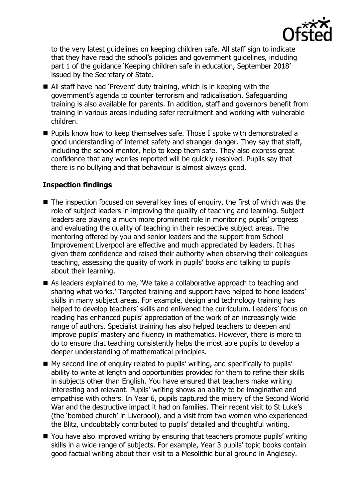

to the very latest guidelines on keeping children safe. All staff sign to indicate that they have read the school's policies and government guidelines, including part 1 of the guidance 'Keeping children safe in education, September 2018' issued by the Secretary of State.

- All staff have had 'Prevent' duty training, which is in keeping with the government's agenda to counter terrorism and radicalisation. Safeguarding training is also available for parents. In addition, staff and governors benefit from training in various areas including safer recruitment and working with vulnerable children.
- **Pupils know how to keep themselves safe. Those I spoke with demonstrated a** good understanding of internet safety and stranger danger. They say that staff, including the school mentor, help to keep them safe. They also express great confidence that any worries reported will be quickly resolved. Pupils say that there is no bullying and that behaviour is almost always good.

# **Inspection findings**

- $\blacksquare$  The inspection focused on several key lines of enquiry, the first of which was the role of subject leaders in improving the quality of teaching and learning. Subject leaders are playing a much more prominent role in monitoring pupils' progress and evaluating the quality of teaching in their respective subject areas. The mentoring offered by you and senior leaders and the support from School Improvement Liverpool are effective and much appreciated by leaders. It has given them confidence and raised their authority when observing their colleagues teaching, assessing the quality of work in pupils' books and talking to pupils about their learning.
- As leaders explained to me, 'We take a collaborative approach to teaching and sharing what works.' Targeted training and support have helped to hone leaders' skills in many subject areas. For example, design and technology training has helped to develop teachers' skills and enlivened the curriculum. Leaders' focus on reading has enhanced pupils' appreciation of the work of an increasingly wide range of authors. Specialist training has also helped teachers to deepen and improve pupils' mastery and fluency in mathematics. However, there is more to do to ensure that teaching consistently helps the most able pupils to develop a deeper understanding of mathematical principles.
- My second line of enquiry related to pupils' writing, and specifically to pupils' ability to write at length and opportunities provided for them to refine their skills in subjects other than English. You have ensured that teachers make writing interesting and relevant. Pupils' writing shows an ability to be imaginative and empathise with others. In Year 6, pupils captured the misery of the Second World War and the destructive impact it had on families. Their recent visit to St Luke's (the 'bombed church' in Liverpool), and a visit from two women who experienced the Blitz, undoubtably contributed to pupils' detailed and thoughtful writing.
- You have also improved writing by ensuring that teachers promote pupils' writing skills in a wide range of subjects. For example, Year 3 pupils' topic books contain good factual writing about their visit to a Mesolithic burial ground in Anglesey.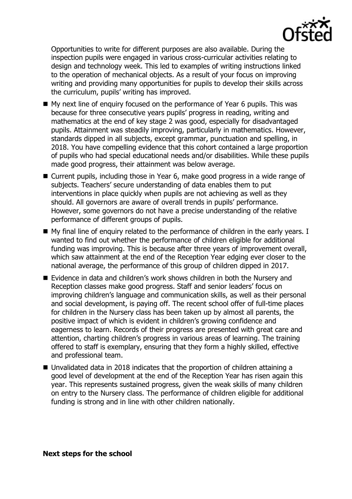

Opportunities to write for different purposes are also available. During the inspection pupils were engaged in various cross-curricular activities relating to design and technology week. This led to examples of writing instructions linked to the operation of mechanical objects. As a result of your focus on improving writing and providing many opportunities for pupils to develop their skills across the curriculum, pupils' writing has improved.

- My next line of enquiry focused on the performance of Year 6 pupils. This was because for three consecutive years pupils' progress in reading, writing and mathematics at the end of key stage 2 was good, especially for disadvantaged pupils. Attainment was steadily improving, particularly in mathematics. However, standards dipped in all subjects, except grammar, punctuation and spelling, in 2018. You have compelling evidence that this cohort contained a large proportion of pupils who had special educational needs and/or disabilities. While these pupils made good progress, their attainment was below average.
- Current pupils, including those in Year 6, make good progress in a wide range of subjects. Teachers' secure understanding of data enables them to put interventions in place quickly when pupils are not achieving as well as they should. All governors are aware of overall trends in pupils' performance. However, some governors do not have a precise understanding of the relative performance of different groups of pupils.
- My final line of enquiry related to the performance of children in the early years. I wanted to find out whether the performance of children eligible for additional funding was improving. This is because after three years of improvement overall, which saw attainment at the end of the Reception Year edging ever closer to the national average, the performance of this group of children dipped in 2017.
- Evidence in data and children's work shows children in both the Nursery and Reception classes make good progress. Staff and senior leaders' focus on improving children's language and communication skills, as well as their personal and social development, is paying off. The recent school offer of full-time places for children in the Nursery class has been taken up by almost all parents, the positive impact of which is evident in children's growing confidence and eagerness to learn. Records of their progress are presented with great care and attention, charting children's progress in various areas of learning. The training offered to staff is exemplary, ensuring that they form a highly skilled, effective and professional team.
- Unvalidated data in 2018 indicates that the proportion of children attaining a good level of development at the end of the Reception Year has risen again this year. This represents sustained progress, given the weak skills of many children on entry to the Nursery class. The performance of children eligible for additional funding is strong and in line with other children nationally.